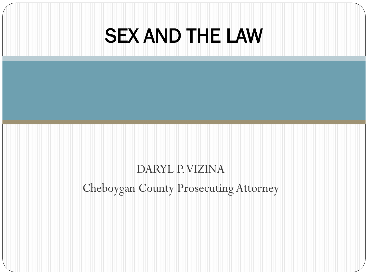#### SEX AND THE LAW

#### DARYL P. VIZINA Cheboygan County Prosecuting Attorney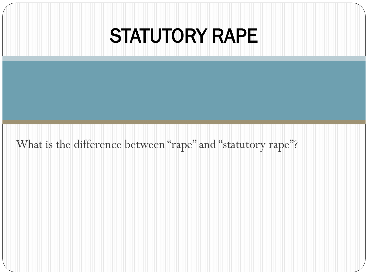#### STATUTORY RAPE

What is the difference between "rape" and "statutory rape"?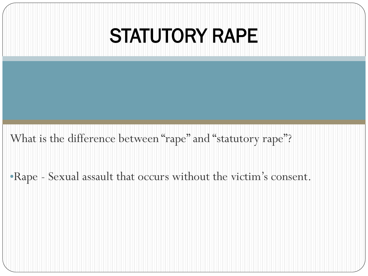#### STATUTORY RAPE

What is the difference between "rape" and "statutory rape"?

•Rape - Sexual assault that occurs without the victim's consent.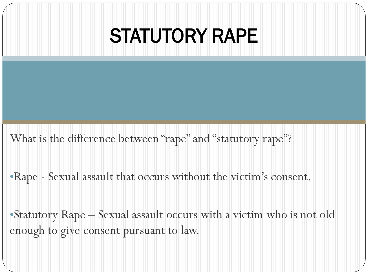#### STATUTORY RAPE

What is the difference between "rape" and "statutory rape"?

•Rape - Sexual assault that occurs without the victim's consent.

•Statutory Rape – Sexual assault occurs with a victim who is not old enough to give consent pursuant to law.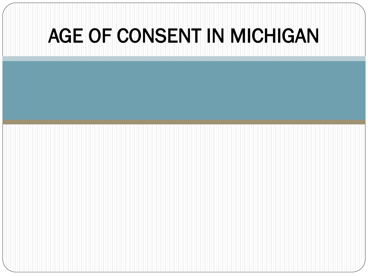#### AGE OF CONSENT IN MICHIGAN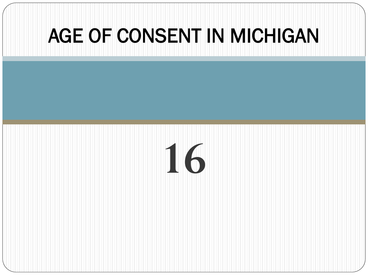#### AGE OF CONSENT IN MICHIGAN

### **16**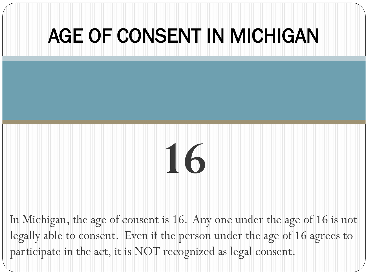#### AGE OF CONSENT IN MICHIGAN

## **16**

In Michigan, the age of consent is 16. Any one under the age of 16 is not legally able to consent. Even if the person under the age of 16 agrees to participate in the act, it is NOT recognized as legal consent.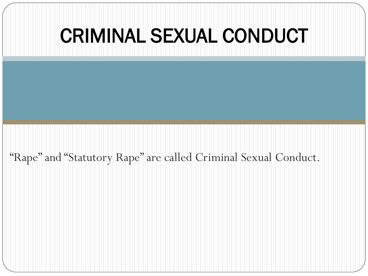"Rape" and "Statutory Rape" are called Criminal Sexual Conduct.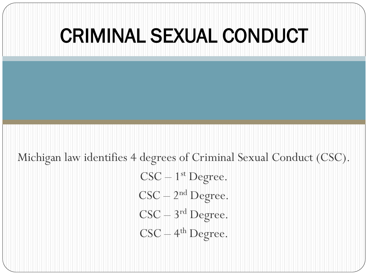#### Michigan law identifies 4 degrees of Criminal Sexual Conduct (CSC).  $CSC - 1<sup>st</sup>$  Degree.  $CSC - 2<sup>nd</sup>$  Degree.  $CSC - 3<sup>rd</sup>$  Degree.  $CSC - 4<sup>th</sup>$  Degree.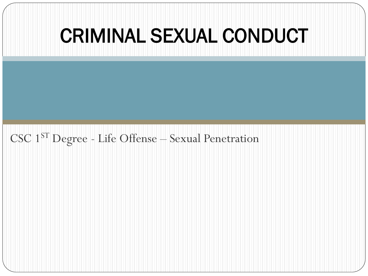CSC 1ST Degree - Life Offense – Sexual Penetration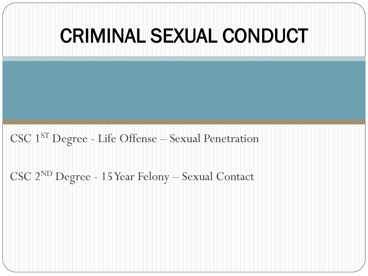# CSC 1ST Degree - Life Offense – Sexual Penetration CSC 2ND Degree - 15 Year Felony – Sexual Contact CRIMINAL SEXUAL CONDUCT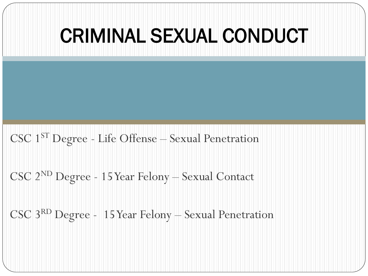## CSC 1ST Degree - Life Offense – Sexual Penetration CSC 2ND Degree - 15 Year Felony – Sexual Contact CSC 3RD Degree - 15 Year Felony – Sexual Penetration CRIMINAL SEXUAL CONDUCT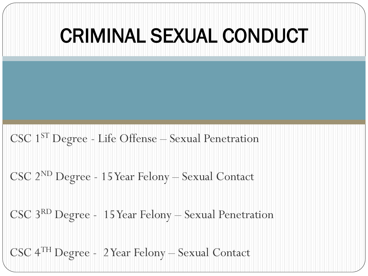## CSC 1ST Degree - Life Offense – Sexual Penetration CSC 2ND Degree - 15 Year Felony – Sexual Contact CSC 3RD Degree - 15 Year Felony – Sexual Penetration CSC 4TH Degree - 2 Year Felony – Sexual Contact CRIMINAL SEXUAL CONDUCT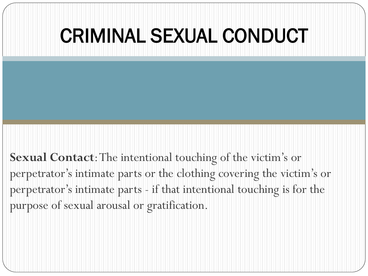**Sexual Contact**: The intentional touching of the victim's or perpetrator's intimate parts or the clothing covering the victim's or perpetrator's intimate parts - if that intentional touching is for the purpose of sexual arousal or gratification.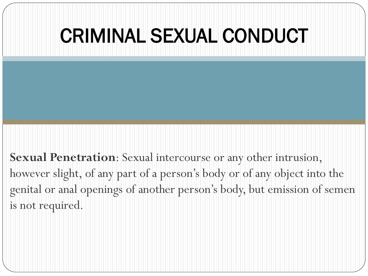**Sexual Penetration**: Sexual intercourse or any other intrusion, however slight, of any part of a person's body or of any object into the genital or anal openings of another person's body, but emission of semen is not required.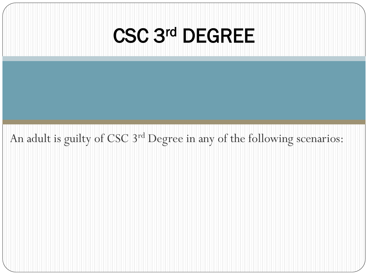An adult is guilty of CSC 3rd Degree in any of the following scenarios: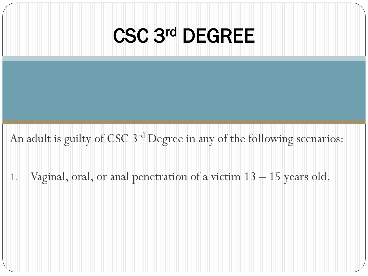An adult is guilty of CSC 3rd Degree in any of the following scenarios:

1. Vaginal, oral, or anal penetration of a victim 13 – 15 years old.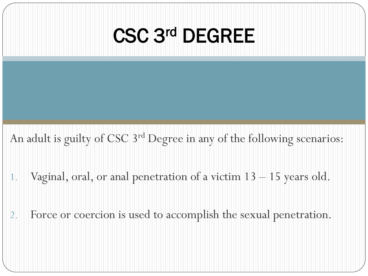An adult is guilty of CSC 3rd Degree in any of the following scenarios:

- 1. Vaginal, oral, or anal penetration of a victim 13 15 years old.
- 2. Force or coercion is used to accomplish the sexual penetration.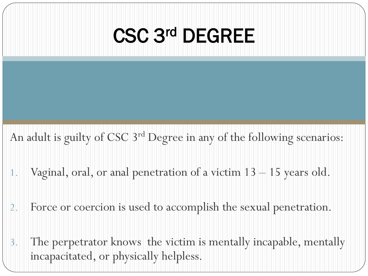An adult is guilty of CSC 3<sup>rd</sup> Degree in any of the following scenarios:

- 1. Vaginal, oral, or anal penetration of a victim 13 15 years old.
- 2. Force or coercion is used to accomplish the sexual penetration.
- 3. The perpetrator knows the victim is mentally incapable, mentally incapacitated, or physically helpless.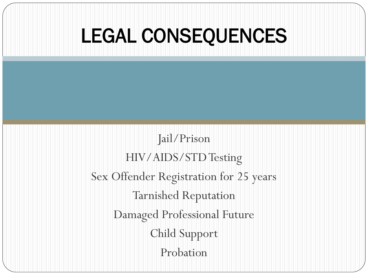#### LEGAL CONSEQUENCES

Jail/Prison HIV/AIDS/STD Testing Sex Offender Registration for 25 years Tarnished Reputation Damaged Professional Future Child Support Probation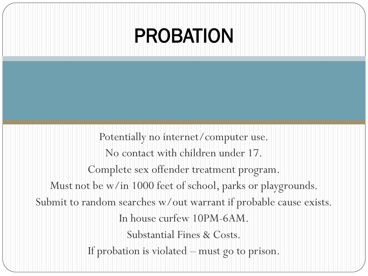#### PROBATION

Potentially no internet/computer use. No contact with children under 17. Complete sex offender treatment program. Must not be w/in 1000 feet of school, parks or playgrounds. Submit to random searches w/out warrant if probable cause exists. In house curfew 10PM-6AM. Substantial Fines & Costs. If probation is violated – must go to prison.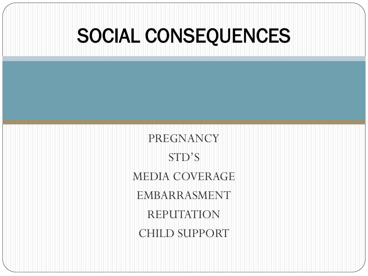#### SOCIAL CONSEQUENCES

PREGNANCY STD'S MEDIA COVERAGE EMBARRASMENT REPUTATION CHILD SUPPORT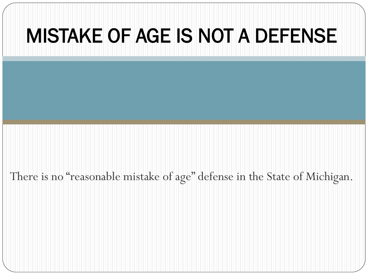#### MISTAKE OF AGE IS NOT A DEFENSE.

There is no "reasonable mistake of age" defense in the State of Michigan.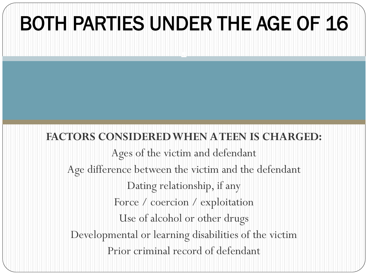#### BOTH PARTIES UNDER THE AGE OF 16

.

#### FACTORS CONSIDERED WHEN A TEEN IS CHARGED:

Ages of the victim and defendant Age difference between the victim and the defendant Dating relationship, if any Force / coercion / exploitation Use of alcohol or other drugs Developmental or learning disabilities of the victim Prior criminal record of defendant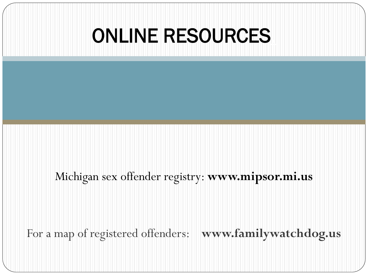#### **ONLINE RESOURCES**

Michigan sex offender registry: **www.mipsor.mi.us**

For a map of registered offenders: **www.familywatchdog.us**